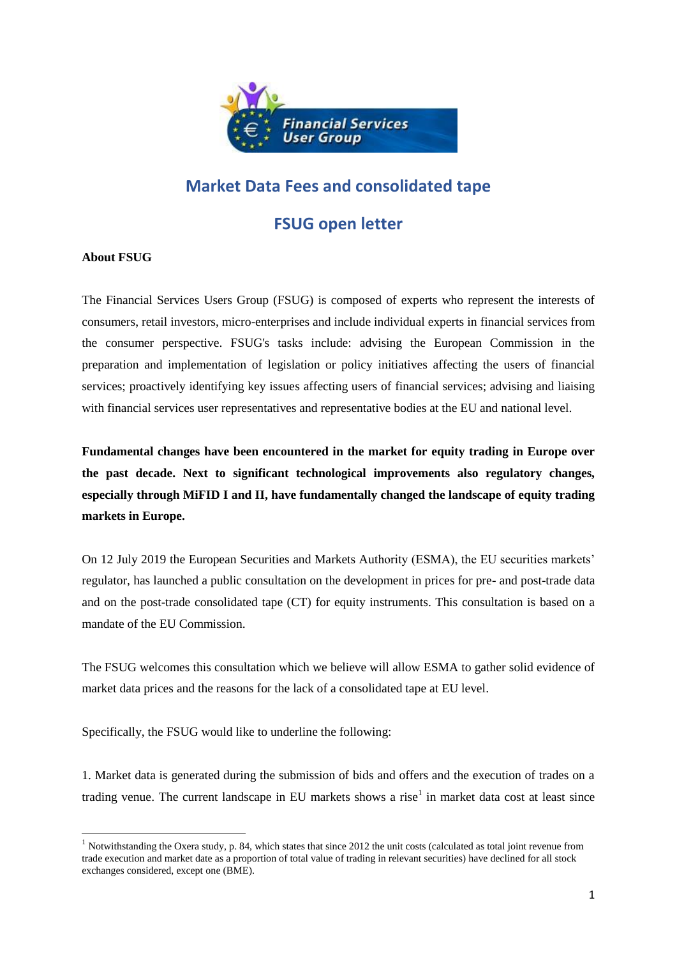

## **Market Data Fees and consolidated tape**

## **FSUG open letter**

## **About FSUG**

**.** 

The Financial Services Users Group (FSUG) is composed of experts who represent the interests of consumers, retail investors, micro-enterprises and include individual experts in financial services from the consumer perspective. FSUG's tasks include: advising the European Commission in the preparation and implementation of legislation or policy initiatives affecting the users of financial services; proactively identifying key issues affecting users of financial services; advising and liaising with financial services user representatives and representative bodies at the EU and national level.

**Fundamental changes have been encountered in the market for equity trading in Europe over the past decade. Next to significant technological improvements also regulatory changes, especially through MiFID I and II, have fundamentally changed the landscape of equity trading markets in Europe.** 

On 12 July 2019 the European Securities and Markets Authority (ESMA), the EU securities markets' regulator, has launched a public consultation on the development in prices for pre- and post-trade data and on the post-trade consolidated tape (CT) for equity instruments. This consultation is based on a mandate of the EU Commission.

The FSUG welcomes this consultation which we believe will allow ESMA to gather solid evidence of market data prices and the reasons for the lack of a consolidated tape at EU level.

Specifically, the FSUG would like to underline the following:

1. Market data is generated during the submission of bids and offers and the execution of trades on a trading venue. The current landscape in EU markets shows a rise<sup>1</sup> in market data cost at least since

<sup>&</sup>lt;sup>1</sup> Notwithstanding the Oxera study, p. 84, which states that since 2012 the unit costs (calculated as total joint revenue from trade execution and market date as a proportion of total value of trading in relevant securities) have declined for all stock exchanges considered, except one (BME).